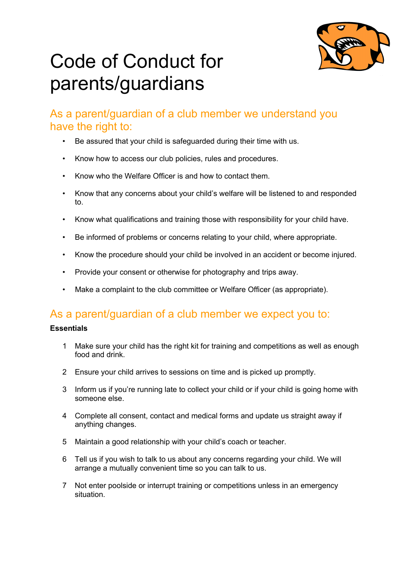

# Code of Conduct for parents/guardians

### As a parent/guardian of a club member we understand you have the right to:

- Be assured that your child is safeguarded during their time with us.
- Know how to access our club policies, rules and procedures.
- Know who the Welfare Officer is and how to contact them.
- Know that any concerns about your child's welfare will be listened to and responded to.
- Know what qualifications and training those with responsibility for your child have.
- Be informed of problems or concerns relating to your child, where appropriate.
- Know the procedure should your child be involved in an accident or become injured.
- Provide your consent or otherwise for photography and trips away.
- Make a complaint to the club committee or Welfare Officer (as appropriate).

## As a parent/guardian of a club member we expect you to:

#### **Essentials**

- 1 Make sure your child has the right kit for training and competitions as well as enough food and drink.
- 2 Ensure your child arrives to sessions on time and is picked up promptly.
- 3 Inform us if you're running late to collect your child or if your child is going home with someone else.
- 4 Complete all consent, contact and medical forms and update us straight away if anything changes.
- 5 Maintain a good relationship with your child's coach or teacher.
- 6 Tell us if you wish to talk to us about any concerns regarding your child. We will arrange a mutually convenient time so you can talk to us.
- 7 Not enter poolside or interrupt training or competitions unless in an emergency situation.